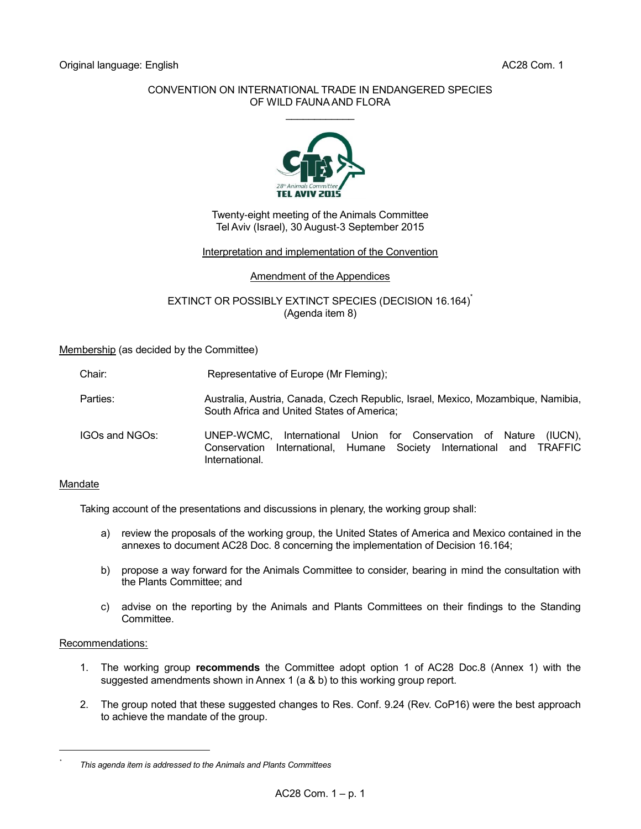## CONVENTION ON INTERNATIONAL TRADE IN ENDANGERED SPECIES OF WILD FAUNA AND FLORA  $\mathcal{L}$  . The set of the set of the set of the set of the set of the set of the set of the set of the set of the set of the set of the set of the set of the set of the set of the set of the set of the set of the set of t



Twenty-eight meeting of the Animals Committee Tel Aviv (Israel), 30 August-3 September 2015

## Interpretation and implementation of the Convention

## Amendment of the Appendices

# EXTINCT OR POSSIBLY EXTINCT SPECIES (DECISION 16.164)<sup>\*</sup> (Agenda item 8)

Membership (as decided by the Committee)

| Chair: | Representative of Europe (Mr Fleming); |
|--------|----------------------------------------|
|--------|----------------------------------------|

- Parties: Australia, Australia, Canada, Czech Republic, Israel, Mexico, Mozambique, Namibia, South Africa and United States of America;
- IGOs and NGOs: UNEP-WCMC, International Union for Conservation of Nature (IUCN), Conservation International, Humane Society International and TRAFFIC International.

## Mandate

Taking account of the presentations and discussions in plenary, the working group shall:

- a) review the proposals of the working group, the United States of America and Mexico contained in the annexes to document AC28 Doc. 8 concerning the implementation of Decision 16.164;
- b) propose a way forward for the Animals Committee to consider, bearing in mind the consultation with the Plants Committee; and
- c) advise on the reporting by the Animals and Plants Committees on their findings to the Standing Committee.

## Recommendations:

l *\**

- 1. The working group **recommends** the Committee adopt option 1 of AC28 Doc.8 (Annex 1) with the suggested amendments shown in Annex 1 (a & b) to this working group report.
- 2. The group noted that these suggested changes to Res. Conf. 9.24 (Rev. CoP16) were the best approach to achieve the mandate of the group.

*This agenda item is addressed to the Animals and Plants Committees*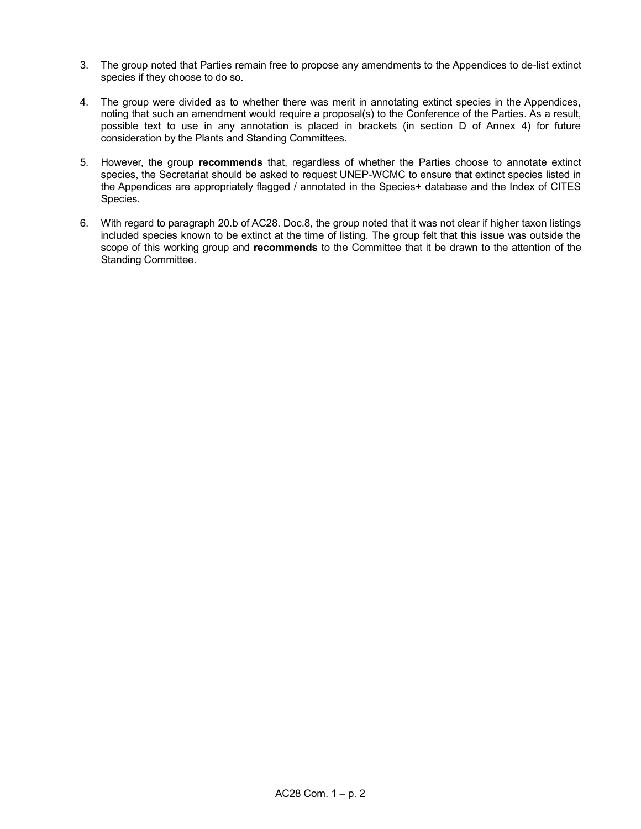- 3. The group noted that Parties remain free to propose any amendments to the Appendices to de-list extinct species if they choose to do so.
- 4. The group were divided as to whether there was merit in annotating extinct species in the Appendices, noting that such an amendment would require a proposal(s) to the Conference of the Parties. As a result, possible text to use in any annotation is placed in brackets (in section D of Annex 4) for future consideration by the Plants and Standing Committees.
- 5. However, the group **recommends** that, regardless of whether the Parties choose to annotate extinct species, the Secretariat should be asked to request UNEP-WCMC to ensure that extinct species listed in the Appendices are appropriately flagged / annotated in the Species+ database and the Index of CITES Species.
- 6. With regard to paragraph 20.b of AC28. Doc.8, the group noted that it was not clear if higher taxon listings included species known to be extinct at the time of listing. The group felt that this issue was outside the scope of this working group and **recommends** to the Committee that it be drawn to the attention of the Standing Committee.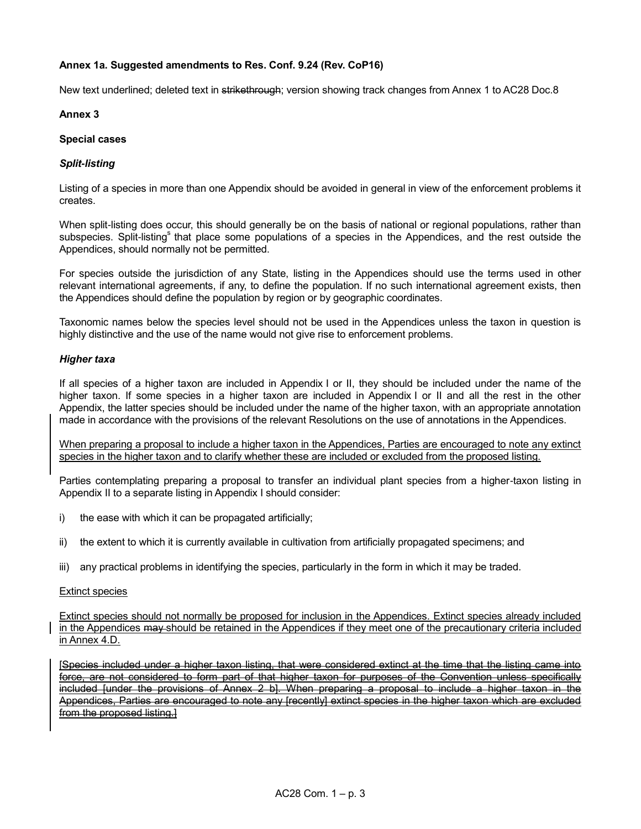# **Annex 1a. Suggested amendments to Res. Conf. 9.24 (Rev. CoP16)**

New text underlined; deleted text in strikethrough; version showing track changes from Annex 1 to AC28 Doc.8

## **Annex 3**

## **Special cases**

# *Split-listing*

Listing of a species in more than one Appendix should be avoided in general in view of the enforcement problems it creates.

When split-listing does occur, this should generally be on the basis of national or regional populations, rather than subspecies. Split-listing<sup>s</sup> that place some populations of a species in the Appendices, and the rest outside the Appendices, should normally not be permitted.

For species outside the jurisdiction of any State, listing in the Appendices should use the terms used in other relevant international agreements, if any, to define the population. If no such international agreement exists, then the Appendices should define the population by region or by geographic coordinates.

Taxonomic names below the species level should not be used in the Appendices unless the taxon in question is highly distinctive and the use of the name would not give rise to enforcement problems.

## *Higher taxa*

If all species of a higher taxon are included in Appendix I or II, they should be included under the name of the higher taxon. If some species in a higher taxon are included in Appendix I or II and all the rest in the other Appendix, the latter species should be included under the name of the higher taxon, with an appropriate annotation made in accordance with the provisions of the relevant Resolutions on the use of annotations in the Appendices.

When preparing a proposal to include a higher taxon in the Appendices, Parties are encouraged to note any extinct species in the higher taxon and to clarify whether these are included or excluded from the proposed listing.

Parties contemplating preparing a proposal to transfer an individual plant species from a higher-taxon listing in Appendix II to a separate listing in Appendix I should consider:

- i) the ease with which it can be propagated artificially;
- ii) the extent to which it is currently available in cultivation from artificially propagated specimens; and
- iii) any practical problems in identifying the species, particularly in the form in which it may be traded.

## Extinct species

Extinct species should not normally be proposed for inclusion in the Appendices. Extinct species already included in the Appendices may should be retained in the Appendices if they meet one of the precautionary criteria included in Annex 4.D.

[Species included under a higher taxon listing, that were considered extinct at the time that the listing came into force, are not considered to form part of that higher taxon for purposes of the Convention unless specifically included funder the provisions of Annex 2 bl. When preparing a proposal to include a higher taxon in the Appendices, Parties are encouraged to note any [recently] extinct species in the higher taxon which are excluded from the proposed listing.]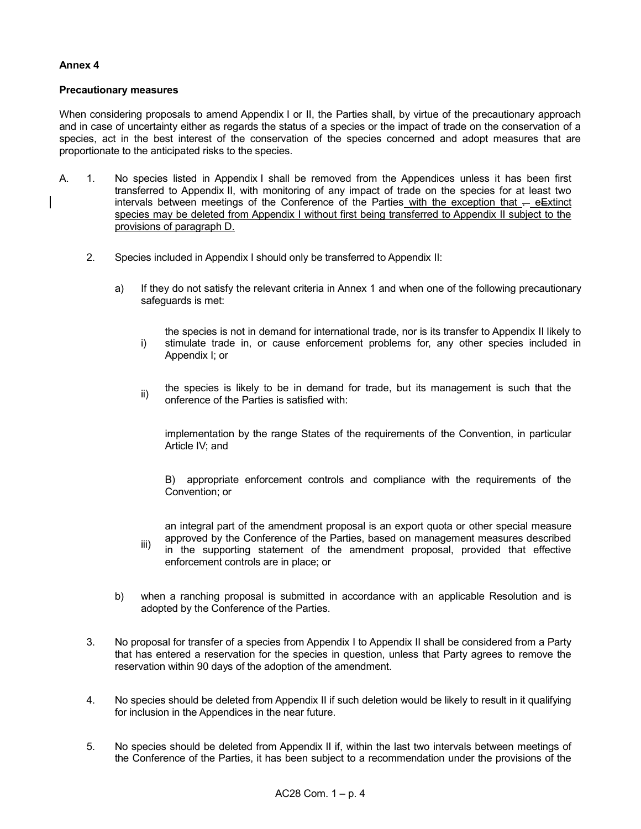# **Annex 4**

## **Precautionary measures**

When considering proposals to amend Appendix I or II, the Parties shall, by virtue of the precautionary approach and in case of uncertainty either as regards the status of a species or the impact of trade on the conservation of a species, act in the best interest of the conservation of the species concerned and adopt measures that are proportionate to the anticipated risks to the species.

- A. 1. No species listed in Appendix I shall be removed from the Appendices unless it has been first transferred to Appendix II, with monitoring of any impact of trade on the species for at least two intervals between meetings of the Conference of the Parties with the exception that  $-$  e $\equiv$ xtinct species may be deleted from Appendix I without first being transferred to Appendix II subject to the provisions of paragraph D.
	- 2. Species included in Appendix I should only be transferred to Appendix II:
		- a) If they do not satisfy the relevant criteria in Annex 1 and when one of the following precautionary safeguards is met:
			- i) the species is not in demand for international trade, nor is its transfer to Appendix II likely to stimulate trade in, or cause enforcement problems for, any other species included in Appendix I; or
			- ii) the species is likely to be in demand for trade, but its management is such that the onference of the Parties is satisfied with:

implementation by the range States of the requirements of the Convention, in particular Article IV; and

B) appropriate enforcement controls and compliance with the requirements of the Convention; or

an integral part of the amendment proposal is an export quota or other special measure approved by the Conference of the Parties, based on management measures described

- iii) in the supporting statement of the amendment proposal, provided that effective enforcement controls are in place; or
- b) when a ranching proposal is submitted in accordance with an applicable Resolution and is adopted by the Conference of the Parties.
- 3. No proposal for transfer of a species from Appendix I to Appendix II shall be considered from a Party that has entered a reservation for the species in question, unless that Party agrees to remove the reservation within 90 days of the adoption of the amendment.
- 4. No species should be deleted from Appendix II if such deletion would be likely to result in it qualifying for inclusion in the Appendices in the near future.
- 5. No species should be deleted from Appendix II if, within the last two intervals between meetings of the Conference of the Parties, it has been subject to a recommendation under the provisions of the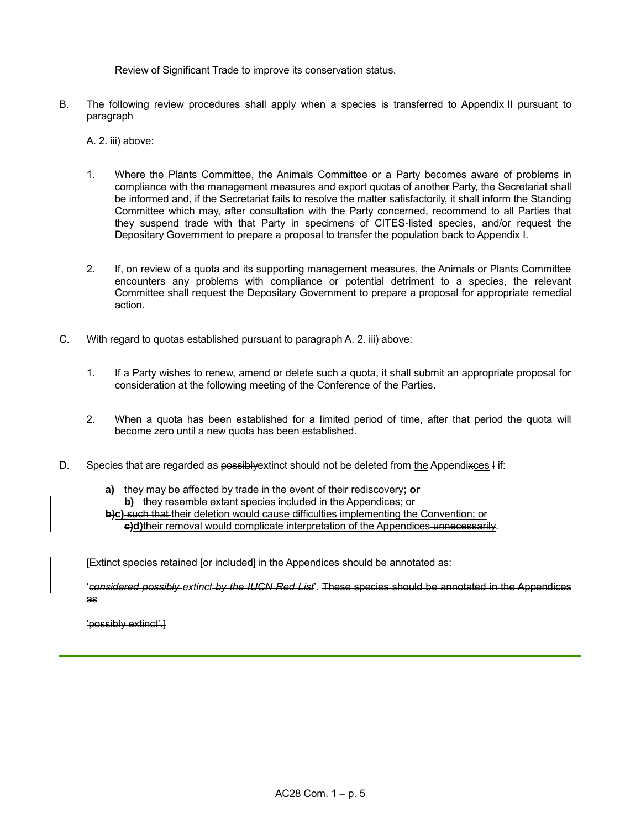Review of Significant Trade to improve its conservation status.

B. The following review procedures shall apply when a species is transferred to Appendix II pursuant to paragraph

A. 2. iii) above:

- 1. Where the Plants Committee, the Animals Committee or a Party becomes aware of problems in compliance with the management measures and export quotas of another Party, the Secretariat shall be informed and, if the Secretariat fails to resolve the matter satisfactorily, it shall inform the Standing Committee which may, after consultation with the Party concerned, recommend to all Parties that they suspend trade with that Party in specimens of CITES-listed species, and/or request the Depositary Government to prepare a proposal to transfer the population back to Appendix I.
- 2. If, on review of a quota and its supporting management measures, the Animals or Plants Committee encounters any problems with compliance or potential detriment to a species, the relevant Committee shall request the Depositary Government to prepare a proposal for appropriate remedial action.
- C. With regard to quotas established pursuant to paragraph A. 2. iii) above:
	- 1. If a Party wishes to renew, amend or delete such a quota, it shall submit an appropriate proposal for consideration at the following meeting of the Conference of the Parties.
	- 2. When a quota has been established for a limited period of time, after that period the quota will become zero until a new quota has been established.
- D. Species that are regarded as possibly extinct should not be deleted from the Appendixces Fif:
	- **a)** they may be affected by trade in the event of their rediscovery**; or b)** they resemble extant species included in the Appendices; or **b)c)** such that their deletion would cause difficulties implementing the Convention; or

**c)d)**their removal would complicate interpretation of the Appendices unnecessarily.

[Extinct species retained for included] in the Appendices should be annotated as:

'*considered possibly extinct by the IUCN Red List*'. These species should be annotated in the Appendices as

'possibly extinct'.]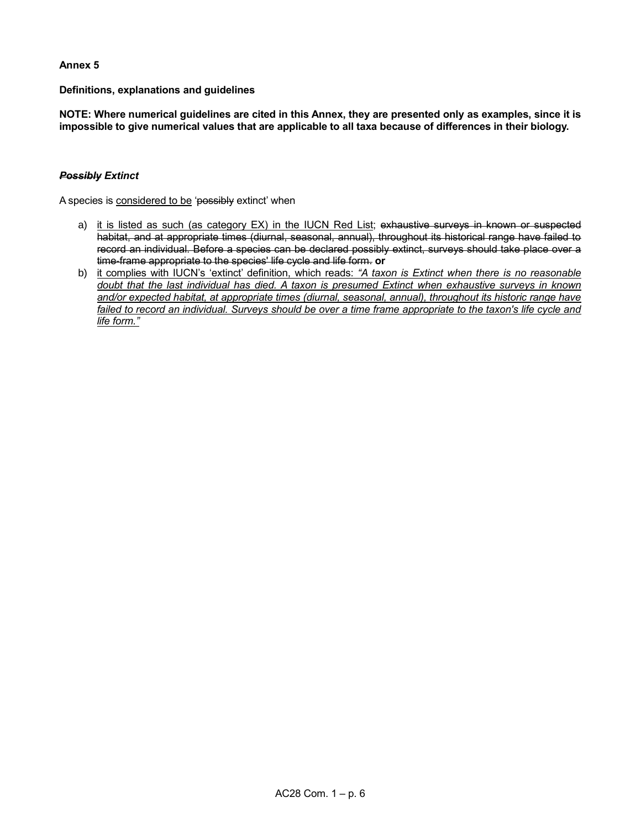## **Annex 5**

**Definitions, explanations and guidelines**

**NOTE: Where numerical guidelines are cited in this Annex, they are presented only as examples, since it is impossible to give numerical values that are applicable to all taxa because of differences in their biology.**

## *Possibly Extinct*

A species is considered to be 'possibly extinct' when

- a) it is listed as such (as category EX) in the IUCN Red List; exhaustive surveys in known or suspected habitat, and at appropriate times (diurnal, seasonal, annual), throughout its historical range have failed to record an individual. Before a species can be declared possibly extinct, surveys should take place over a time-frame appropriate to the species' life cycle and life form. **or**
- b) it complies with IUCN's 'extinct' definition, which reads: *"A taxon is Extinct when there is no reasonable doubt that the last individual has died. A taxon is presumed Extinct when exhaustive surveys in known and/or expected habitat, at appropriate times (diurnal, seasonal, annual), throughout its historic range have*  failed to record an individual. Surveys should be over a time frame appropriate to the taxon's life cycle and *life form."*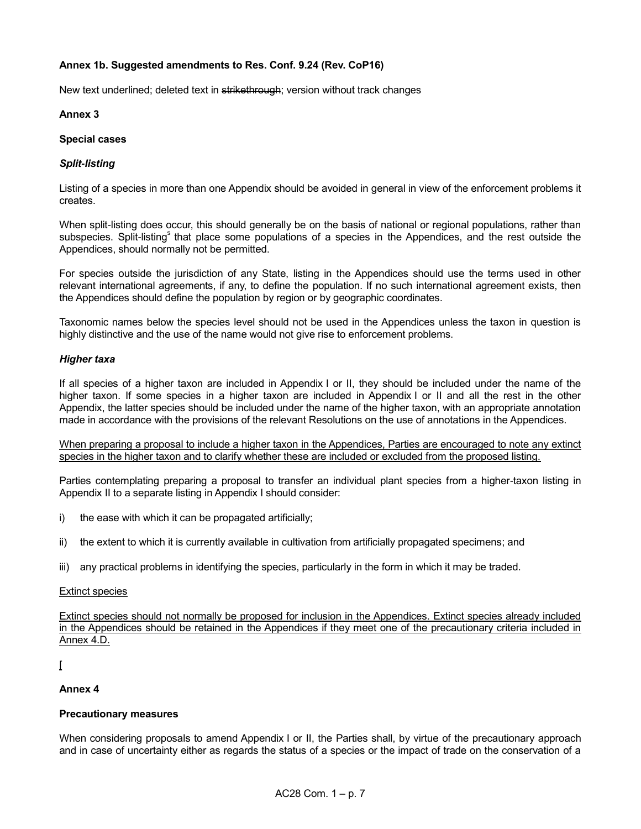# **Annex 1b. Suggested amendments to Res. Conf. 9.24 (Rev. CoP16)**

New text underlined; deleted text in strikethrough; version without track changes

# **Annex 3**

# **Special cases**

# *Split-listing*

Listing of a species in more than one Appendix should be avoided in general in view of the enforcement problems it creates.

When split-listing does occur, this should generally be on the basis of national or regional populations, rather than subspecies. Split-listing<sup>s</sup> that place some populations of a species in the Appendices, and the rest outside the Appendices, should normally not be permitted.

For species outside the jurisdiction of any State, listing in the Appendices should use the terms used in other relevant international agreements, if any, to define the population. If no such international agreement exists, then the Appendices should define the population by region or by geographic coordinates.

Taxonomic names below the species level should not be used in the Appendices unless the taxon in question is highly distinctive and the use of the name would not give rise to enforcement problems.

## *Higher taxa*

If all species of a higher taxon are included in Appendix I or II, they should be included under the name of the higher taxon. If some species in a higher taxon are included in Appendix I or II and all the rest in the other Appendix, the latter species should be included under the name of the higher taxon, with an appropriate annotation made in accordance with the provisions of the relevant Resolutions on the use of annotations in the Appendices.

When preparing a proposal to include a higher taxon in the Appendices, Parties are encouraged to note any extinct species in the higher taxon and to clarify whether these are included or excluded from the proposed listing.

Parties contemplating preparing a proposal to transfer an individual plant species from a higher-taxon listing in Appendix II to a separate listing in Appendix I should consider:

- i) the ease with which it can be propagated artificially;
- ii) the extent to which it is currently available in cultivation from artificially propagated specimens; and
- iii) any practical problems in identifying the species, particularly in the form in which it may be traded.

## Extinct species

Extinct species should not normally be proposed for inclusion in the Appendices. Extinct species already included in the Appendices should be retained in the Appendices if they meet one of the precautionary criteria included in Annex 4.D.

## $\lceil$

# **Annex 4**

# **Precautionary measures**

When considering proposals to amend Appendix I or II, the Parties shall, by virtue of the precautionary approach and in case of uncertainty either as regards the status of a species or the impact of trade on the conservation of a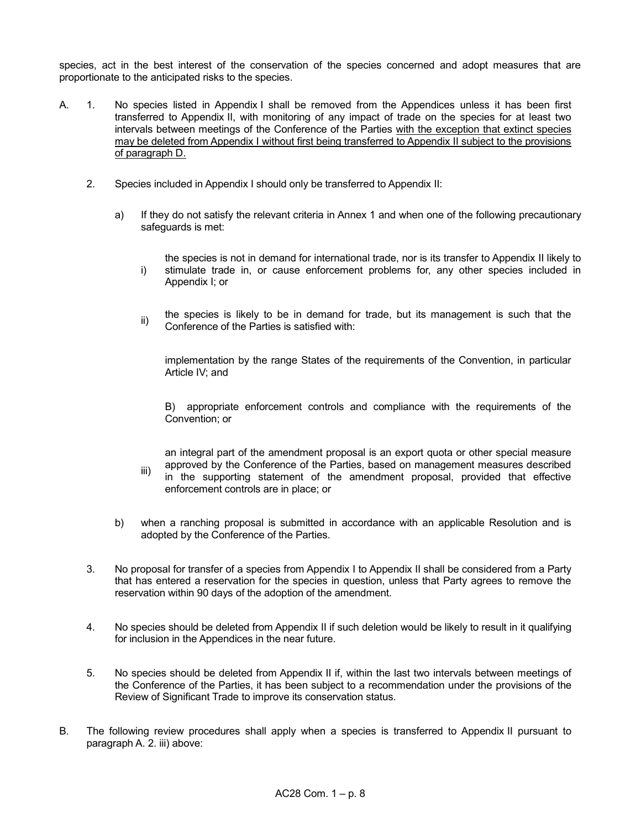species, act in the best interest of the conservation of the species concerned and adopt measures that are proportionate to the anticipated risks to the species.

- A. 1. No species listed in Appendix I shall be removed from the Appendices unless it has been first transferred to Appendix II, with monitoring of any impact of trade on the species for at least two intervals between meetings of the Conference of the Parties with the exception that extinct species may be deleted from Appendix I without first being transferred to Appendix II subject to the provisions of paragraph D.
	- 2. Species included in Appendix I should only be transferred to Appendix II:
		- a) If they do not satisfy the relevant criteria in Annex 1 and when one of the following precautionary safeguards is met:
			- i) the species is not in demand for international trade, nor is its transfer to Appendix II likely to stimulate trade in, or cause enforcement problems for, any other species included in Appendix I; or
			- ii) the species is likely to be in demand for trade, but its management is such that the Conference of the Parties is satisfied with:

implementation by the range States of the requirements of the Convention, in particular Article IV; and

B) appropriate enforcement controls and compliance with the requirements of the Convention; or

iii) an integral part of the amendment proposal is an export quota or other special measure approved by the Conference of the Parties, based on management measures described in the supporting statement of the amendment proposal, provided that effective enforcement controls are in place; or

- b) when a ranching proposal is submitted in accordance with an applicable Resolution and is adopted by the Conference of the Parties.
- 3. No proposal for transfer of a species from Appendix I to Appendix II shall be considered from a Party that has entered a reservation for the species in question, unless that Party agrees to remove the reservation within 90 days of the adoption of the amendment.
- 4. No species should be deleted from Appendix II if such deletion would be likely to result in it qualifying for inclusion in the Appendices in the near future.
- 5. No species should be deleted from Appendix II if, within the last two intervals between meetings of the Conference of the Parties, it has been subject to a recommendation under the provisions of the Review of Significant Trade to improve its conservation status.
- B. The following review procedures shall apply when a species is transferred to Appendix II pursuant to paragraph A. 2. iii) above: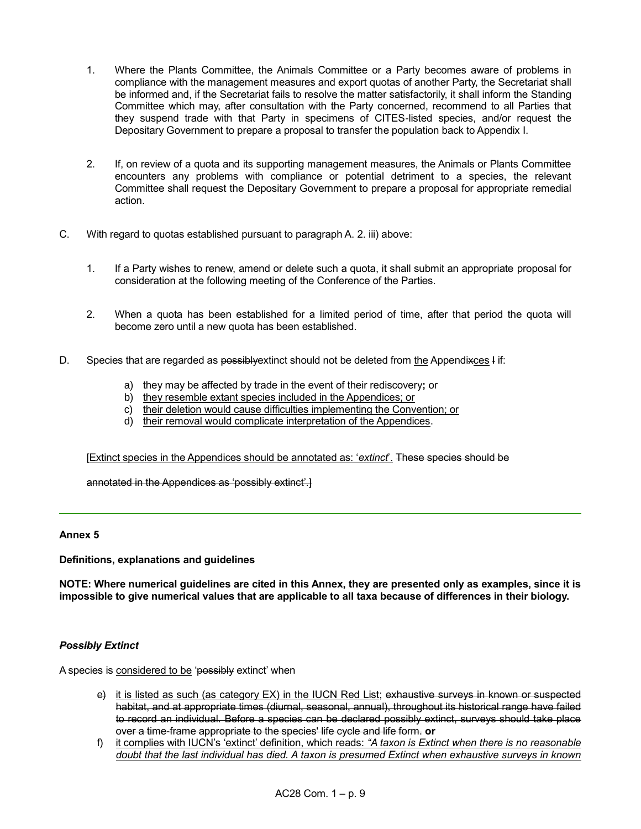- 1. Where the Plants Committee, the Animals Committee or a Party becomes aware of problems in compliance with the management measures and export quotas of another Party, the Secretariat shall be informed and, if the Secretariat fails to resolve the matter satisfactorily, it shall inform the Standing Committee which may, after consultation with the Party concerned, recommend to all Parties that they suspend trade with that Party in specimens of CITES-listed species, and/or request the Depositary Government to prepare a proposal to transfer the population back to Appendix I.
- 2. If, on review of a quota and its supporting management measures, the Animals or Plants Committee encounters any problems with compliance or potential detriment to a species, the relevant Committee shall request the Depositary Government to prepare a proposal for appropriate remedial action.
- C. With regard to quotas established pursuant to paragraph A. 2. iii) above:
	- 1. If a Party wishes to renew, amend or delete such a quota, it shall submit an appropriate proposal for consideration at the following meeting of the Conference of the Parties.
	- 2. When a quota has been established for a limited period of time, after that period the quota will become zero until a new quota has been established.
- D. Species that are regarded as possibly extinct should not be deleted from the Appendixces I if:
	- a) they may be affected by trade in the event of their rediscovery**;** or
	- b) they resemble extant species included in the Appendices; or
	- c) their deletion would cause difficulties implementing the Convention; or
	- d) their removal would complicate interpretation of the Appendices.

[Extinct species in the Appendices should be annotated as: '*extinct*'. These species should be

annotated in the Appendices as 'possibly extinct'.]

# **Annex 5**

## **Definitions, explanations and guidelines**

**NOTE: Where numerical guidelines are cited in this Annex, they are presented only as examples, since it is impossible to give numerical values that are applicable to all taxa because of differences in their biology.**

## *Possibly Extinct*

A species is considered to be 'possibly extinct' when

- e) it is listed as such (as category EX) in the IUCN Red List; exhaustive surveys in known or suspected habitat, and at appropriate times (diurnal, seasonal, annual), throughout its historical range have failed to record an individual. Before a species can be declared possibly extinct, surveys should take place over a time-frame appropriate to the species' life cycle and life form. **or**
- f) it complies with IUCN's 'extinct' definition, which reads: *"A taxon is Extinct when there is no reasonable doubt that the last individual has died. A taxon is presumed Extinct when exhaustive surveys in known*